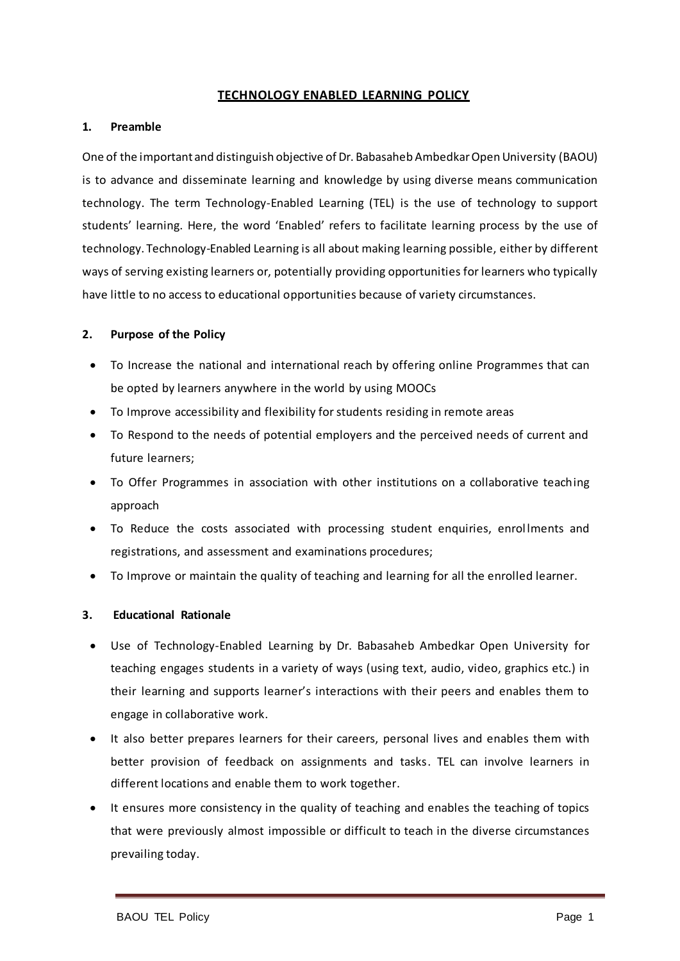## **TECHNOLOGY ENABLED LEARNING POLICY**

### **1. Preamble**

One of the important and distinguish objective of Dr. Babasaheb Ambedkar Open University (BAOU) is to advance and disseminate learning and knowledge by using diverse means communication technology. The term Technology-Enabled Learning (TEL) is the use of technology to support students' learning. Here, the word 'Enabled' refers to facilitate learning process by the use of technology. Technology-Enabled Learning is all about making learning possible, either by different ways of serving existing learners or, potentially providing opportunities for learners who typically have little to no access to educational opportunities because of variety circumstances.

### **2. Purpose of the Policy**

- To Increase the national and international reach by offering online Programmes that can be opted by learners anywhere in the world by using MOOCs
- To Improve accessibility and flexibility for students residing in remote areas
- To Respond to the needs of potential employers and the perceived needs of current and future learners;
- To Offer Programmes in association with other institutions on a collaborative teaching approach
- To Reduce the costs associated with processing student enquiries, enrollments and registrations, and assessment and examinations procedures;
- To Improve or maintain the quality of teaching and learning for all the enrolled learner.

# **3. Educational Rationale**

- Use of Technology-Enabled Learning by Dr. Babasaheb Ambedkar Open University for teaching engages students in a variety of ways (using text, audio, video, graphics etc.) in their learning and supports learner's interactions with their peers and enables them to engage in collaborative work.
- It also better prepares learners for their careers, personal lives and enables them with better provision of feedback on assignments and tasks. TEL can involve learners in different locations and enable them to work together.
- It ensures more consistency in the quality of teaching and enables the teaching of topics that were previously almost impossible or difficult to teach in the diverse circumstances prevailing today.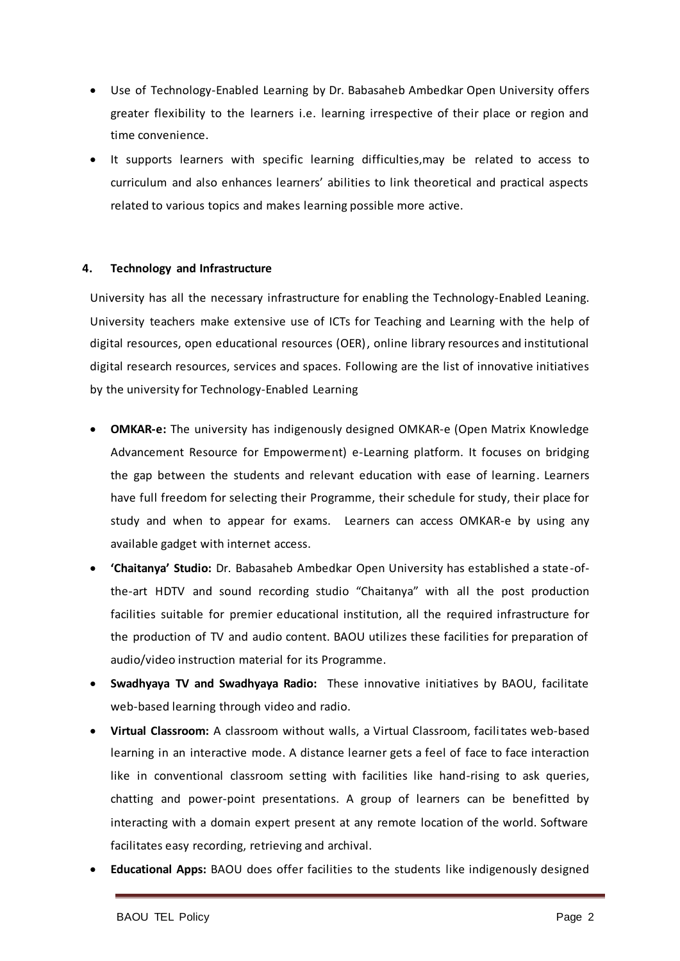- Use of Technology-Enabled Learning by Dr. Babasaheb Ambedkar Open University offers greater flexibility to the learners i.e. learning irrespective of their place or region and time convenience.
- It supports learners with specific learning difficulties,may be related to access to curriculum and also enhances learners' abilities to link theoretical and practical aspects related to various topics and makes learning possible more active.

# **4. Technology and Infrastructure**

University has all the necessary infrastructure for enabling the Technology-Enabled Leaning. University teachers make extensive use of ICTs for Teaching and Learning with the help of digital resources, open educational resources (OER), online library resources and institutional digital research resources, services and spaces. Following are the list of innovative initiatives by the university for Technology-Enabled Learning

- **OMKAR-e:** The university has indigenously designed OMKAR-e (Open Matrix Knowledge Advancement Resource for Empowerment) e-Learning platform. It focuses on bridging the gap between the students and relevant education with ease of learning. Learners have full freedom for selecting their Programme, their schedule for study, their place for study and when to appear for exams. Learners can access OMKAR-e by using any available gadget with internet access.
- **'Chaitanya' Studio:** Dr. Babasaheb Ambedkar Open University has established a state-ofthe-art HDTV and sound recording studio "Chaitanya" with all the post production facilities suitable for premier educational institution, all the required infrastructure for the production of TV and audio content. BAOU utilizes these facilities for preparation of audio/video instruction material for its Programme.
- **Swadhyaya TV and Swadhyaya Radio:** These innovative initiatives by BAOU, facilitate web-based learning through video and radio.
- **Virtual Classroom:** A classroom without walls, a Virtual Classroom, facilitates web-based learning in an interactive mode. A distance learner gets a feel of face to face interaction like in conventional classroom setting with facilities like hand-rising to ask queries, chatting and power-point presentations. A group of learners can be benefitted by interacting with a domain expert present at any remote location of the world. Software facilitates easy recording, retrieving and archival.
- **Educational Apps:** BAOU does offer facilities to the students like indigenously designed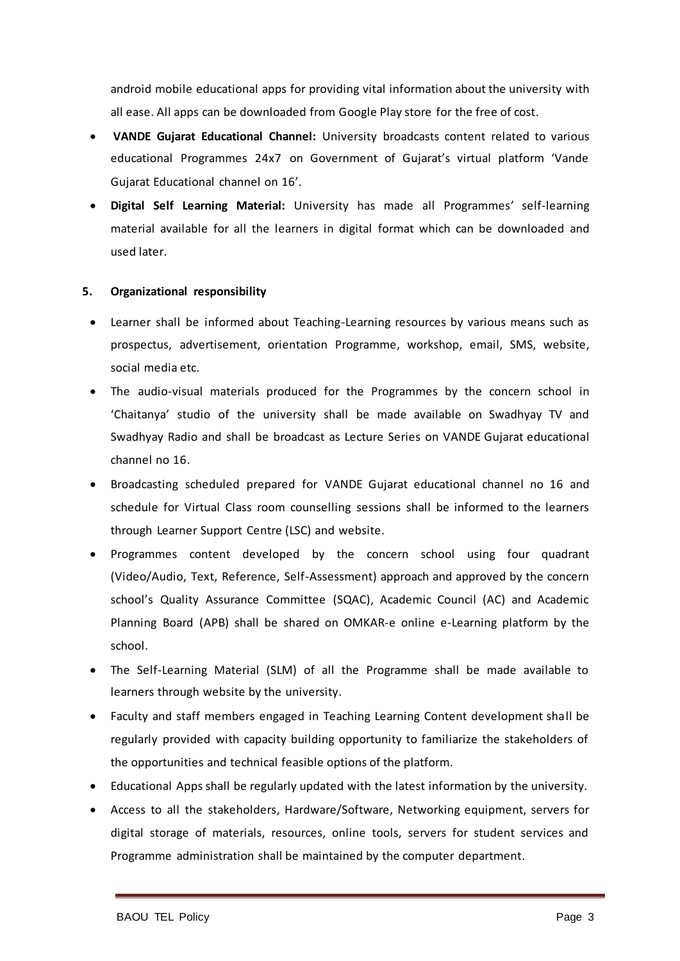android mobile educational apps for providing vital information about the university with all ease. All apps can be downloaded from Google Play store for the free of cost.

- **VANDE Gujarat Educational Channel:** University broadcasts content related to various educational Programmes 24x7 on Government of Gujarat's virtual platform 'Vande Gujarat Educational channel on 16'.
- **Digital Self Learning Material:** University has made all Programmes' self-learning material available for all the learners in digital format which can be downloaded and used later.

# **5. Organizational responsibility**

- Learner shall be informed about Teaching-Learning resources by various means such as prospectus, advertisement, orientation Programme, workshop, email, SMS, website, social media etc.
- The audio-visual materials produced for the Programmes by the concern school in 'Chaitanya' studio of the university shall be made available on Swadhyay TV and Swadhyay Radio and shall be broadcast as Lecture Series on VANDE Gujarat educational channel no 16.
- Broadcasting scheduled prepared for VANDE Gujarat educational channel no 16 and schedule for Virtual Class room counselling sessions shall be informed to the learners through Learner Support Centre (LSC) and website.
- Programmes content developed by the concern school using four quadrant (Video/Audio, Text, Reference, Self-Assessment) approach and approved by the concern school's Quality Assurance Committee (SQAC), Academic Council (AC) and Academic Planning Board (APB) shall be shared on OMKAR-e online e-Learning platform by the school.
- The Self-Learning Material (SLM) of all the Programme shall be made available to learners through website by the university.
- Faculty and staff members engaged in Teaching Learning Content development shall be regularly provided with capacity building opportunity to familiarize the stakeholders of the opportunities and technical feasible options of the platform.
- Educational Apps shall be regularly updated with the latest information by the university.
- Access to all the stakeholders, Hardware/Software, Networking equipment, servers for digital storage of materials, resources, online tools, servers for student services and Programme administration shall be maintained by the computer department.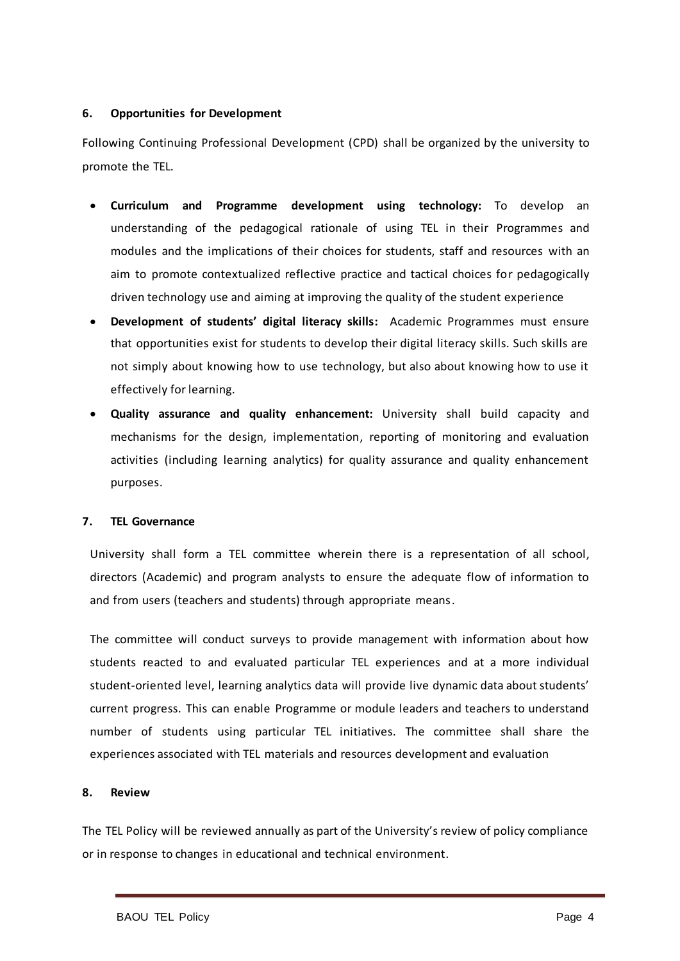## **6. Opportunities for Development**

Following Continuing Professional Development (CPD) shall be organized by the university to promote the TEL.

- **Curriculum and Programme development using technology:** To develop an understanding of the pedagogical rationale of using TEL in their Programmes and modules and the implications of their choices for students, staff and resources with an aim to promote contextualized reflective practice and tactical choices for pedagogically driven technology use and aiming at improving the quality of the student experience
- **Development of students' digital literacy skills:** Academic Programmes must ensure that opportunities exist for students to develop their digital literacy skills. Such skills are not simply about knowing how to use technology, but also about knowing how to use it effectively for learning.
- **Quality assurance and quality enhancement:** University shall build capacity and mechanisms for the design, implementation, reporting of monitoring and evaluation activities (including learning analytics) for quality assurance and quality enhancement purposes.

#### **7. TEL Governance**

University shall form a TEL committee wherein there is a representation of all school, directors (Academic) and program analysts to ensure the adequate flow of information to and from users (teachers and students) through appropriate means.

The committee will conduct surveys to provide management with information about how students reacted to and evaluated particular TEL experiences and at a more individual student-oriented level, learning analytics data will provide live dynamic data about students' current progress. This can enable Programme or module leaders and teachers to understand number of students using particular TEL initiatives. The committee shall share the experiences associated with TEL materials and resources development and evaluation

#### **8. Review**

The TEL Policy will be reviewed annually as part of the University's review of policy compliance or in response to changes in educational and technical environment.